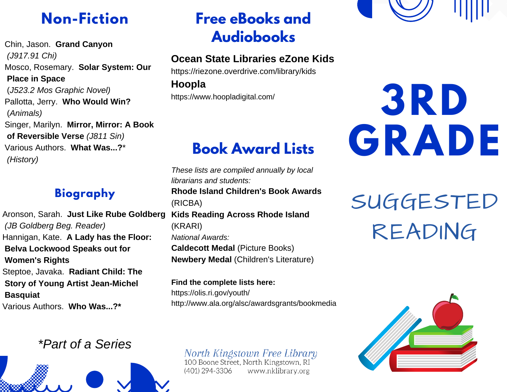## **Non-Fiction**

Chin, Jason. **Grand Canyon** *(J917.91 Chi)* Mosco, Rosemary. **Solar System: Our Place in Space** (*J523.2 Mos Graphic Novel)* Pallotta, Jerry. **Who Would Win?** (*Animals)* Singer, Marilyn. **Mirror, Mirror: A Book of Reversible Verse** *(J811 Sin)* Various Authors. **What Was...?**\* *(History)*

### **Biography**

Aronson, Sarah. **Just Like Rube Goldberg** *(JB Goldberg Beg. Reader)* Hannigan, Kate. **A Lady has the Floor: Belva Lockwood Speaks out for Women's Rights** Steptoe, Javaka. **Radiant Child: The Story of Young Artist Jean-Michel Basquiat** Various Authors. **Who Was...?\***

#### *\*Part of a Series*



## **Free eBooks and Audiobooks**

#### **Ocean State Libraries eZone Kids**

https://riezone.overdrive.com/library/kids

**Hoopla**

https://www.hoopladigital.com/

## **Book Award Lists**

*These lists are compiled annually by local librarians and students:* **Rhode Island Children's Book Awards** (RICBA) **Kids Reading Across Rhode Island** (KRARI) *National Awards:* **Caldecott Medal** (Picture Books) **Newbery Medal** (Children's Literature)

**Find the complete lists here:** https://olis.ri.gov/youth/ http://www.ala.org/alsc/awardsgrants/bookmedia

## North Kingstown Free Library<br>100 Boone Street, North Kingstown, RI

(401) 294-3306 www.nklibrary.org



# **3RD GRADE**

SUGGESTED READING